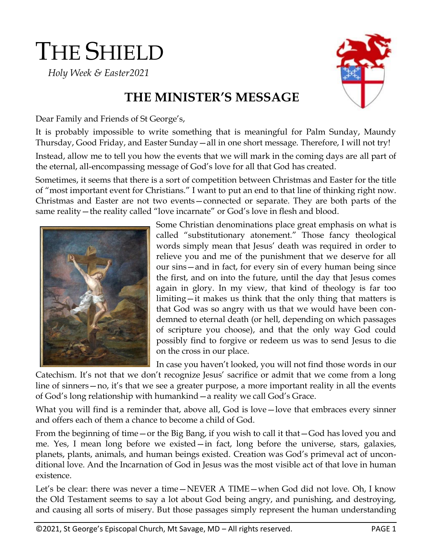# THE SHIELD

 *Holy Week & Easter2021*



## **THE MINISTER'S MESSAGE**

Dear Family and Friends of St George's,

It is probably impossible to write something that is meaningful for Palm Sunday, Maundy Thursday, Good Friday, and Easter Sunday—all in one short message. Therefore, I will not try!

Instead, allow me to tell you how the events that we will mark in the coming days are all part of the eternal, all-encompassing message of God's love for all that God has created.

Sometimes, it seems that there is a sort of competition between Christmas and Easter for the title of "most important event for Christians." I want to put an end to that line of thinking right now. Christmas and Easter are not two events—connected or separate. They are both parts of the same reality—the reality called "love incarnate" or God's love in flesh and blood.



Some Christian denominations place great emphasis on what is called "substitutionary atonement." Those fancy theological words simply mean that Jesus' death was required in order to relieve you and me of the punishment that we deserve for all our sins—and in fact, for every sin of every human being since the first, and on into the future, until the day that Jesus comes again in glory. In my view, that kind of theology is far too limiting—it makes us think that the only thing that matters is that God was so angry with us that we would have been condemned to eternal death (or hell, depending on which passages of scripture you choose), and that the only way God could possibly find to forgive or redeem us was to send Jesus to die on the cross in our place.

In case you haven't looked, you will not find those words in our

Catechism. It's not that we don't recognize Jesus' sacrifice or admit that we come from a long line of sinners—no, it's that we see a greater purpose, a more important reality in all the events of God's long relationship with humankind—a reality we call God's Grace.

What you will find is a reminder that, above all, God is love —love that embraces every sinner and offers each of them a chance to become a child of God.

From the beginning of time—or the Big Bang, if you wish to call it that—God has loved you and me. Yes, I mean long before we existed—in fact, long before the universe, stars, galaxies, planets, plants, animals, and human beings existed. Creation was God's primeval act of unconditional love. And the Incarnation of God in Jesus was the most visible act of that love in human existence.

Let's be clear: there was never a time—NEVER A TIME—when God did not love. Oh, I know the Old Testament seems to say a lot about God being angry, and punishing, and destroying, and causing all sorts of misery. But those passages simply represent the human understanding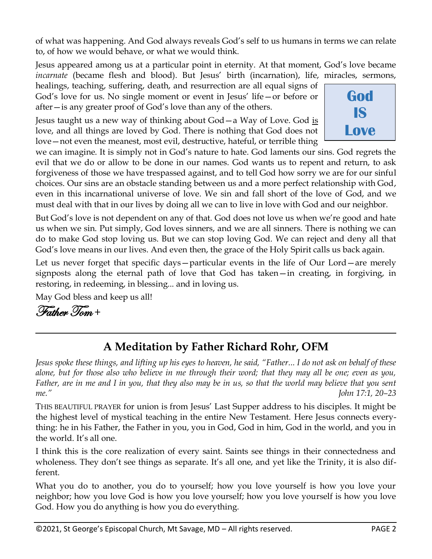of what was happening. And God always reveals God's self to us humans in terms we can relate to, of how we would behave, or what we would think.

Jesus appeared among us at a particular point in eternity. At that moment, God's love became *incarnate* (became flesh and blood). But Jesus' birth (incarnation), life, miracles, sermons,

healings, teaching, suffering, death, and resurrection are all equal signs of God's love for us. No single moment or event in Jesus' life—or before or after—is any greater proof of God's love than any of the others.

Jesus taught us a new way of thinking about God—a Way of Love. God is love, and all things are loved by God. There is nothing that God does not love—not even the meanest, most evil, destructive, hateful, or terrible thing



we can imagine. It is simply not in God's nature to hate. God laments our sins. God regrets the evil that we do or allow to be done in our names. God wants us to repent and return, to ask forgiveness of those we have trespassed against, and to tell God how sorry we are for our sinful choices. Our sins are an obstacle standing between us and a more perfect relationship with God, even in this incarnational universe of love. We sin and fall short of the love of God, and we must deal with that in our lives by doing all we can to live in love with God and our neighbor.

But God's love is not dependent on any of that. God does not love us when we're good and hate us when we sin. Put simply, God loves sinners, and we are all sinners. There is nothing we can do to make God stop loving us. But we can stop loving God. We can reject and deny all that God's love means in our lives. And even then, the grace of the Holy Spirit calls us back again.

Let us never forget that specific days—particular events in the life of Our Lord—are merely signposts along the eternal path of love that God has taken—in creating, in forgiving, in restoring, in redeeming, in blessing... and in loving us.

May God bless and keep us all!

Father Tom +

## **A Meditation by Father Richard Rohr, OFM**

*Jesus spoke these things, and lifting up his eyes to heaven, he said, "Father... I do not ask on behalf of these alone, but for those also who believe in me through their word; that they may all be one; even as you, Father, are in me and I in you, that they also may be in us, so that the world may believe that you sent me." John 17:1, 20–23*

THIS BEAUTIFUL PRAYER for union is from Jesus' Last Supper address to his disciples. It might be the highest level of mystical teaching in the entire New Testament. Here Jesus connects everything: he in his Father, the Father in you, you in God, God in him, God in the world, and you in the world. It's all one.

I think this is the core realization of every saint. Saints see things in their connectedness and wholeness. They don't see things as separate. It's all one, and yet like the Trinity, it is also different.

What you do to another, you do to yourself; how you love yourself is how you love your neighbor; how you love God is how you love yourself; how you love yourself is how you love God. How you do anything is how you do everything.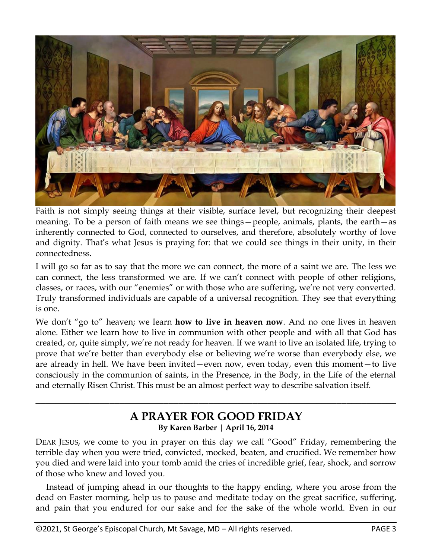

Faith is not simply seeing things at their visible, surface level, but recognizing their deepest meaning. To be a person of faith means we see things—people, animals, plants, the earth—as inherently connected to God, connected to ourselves, and therefore, absolutely worthy of love and dignity. That's what Jesus is praying for: that we could see things in their unity, in their connectedness.

I will go so far as to say that the more we can connect, the more of a saint we are. The less we can connect, the less transformed we are. If we can't connect with people of other religions, classes, or races, with our "enemies" or with those who are suffering, we're not very converted. Truly transformed individuals are capable of a universal recognition. They see that everything is one.

We don't "go to" heaven; we learn **how to live in heaven now**. And no one lives in heaven alone. Either we learn how to live in communion with other people and with all that God has created, or, quite simply, we're not ready for heaven. If we want to live an isolated life, trying to prove that we're better than everybody else or believing we're worse than everybody else, we are already in hell. We have been invited—even now, even today, even this moment—to live consciously in the communion of saints, in the Presence, in the Body, in the Life of the eternal and eternally Risen Christ. This must be an almost perfect way to describe salvation itself.

#### **A PRAYER FOR GOOD FRIDAY By Karen Barber | April 16, 2014**

**\_\_\_\_\_\_\_\_\_\_\_\_\_\_\_\_\_\_\_\_\_\_\_\_\_\_\_\_\_\_\_\_\_\_\_\_\_\_\_\_\_\_\_\_\_\_\_\_\_\_\_\_\_\_\_\_\_\_\_\_\_\_\_\_\_\_\_\_\_\_\_\_\_**

DEAR JESUS, we come to you in prayer on this day we call "Good" Friday, remembering the terrible day when you were tried, convicted, mocked, beaten, and crucified. We remember how you died and were laid into your tomb amid the cries of incredible grief, fear, shock, and sorrow of those who knew and loved you.

 Instead of jumping ahead in our thoughts to the happy ending, where you arose from the dead on Easter morning, help us to pause and meditate today on the great sacrifice, suffering, and pain that you endured for our sake and for the sake of the whole world. Even in our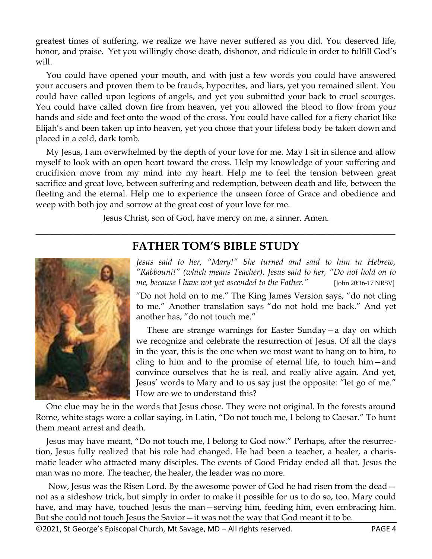greatest times of suffering, we realize we have never suffered as you did. You deserved life, honor, and praise. Yet you willingly chose death, dishonor, and ridicule in order to fulfill God's will.

 You could have opened your mouth, and with just a few words you could have answered your accusers and proven them to be frauds, hypocrites, and liars, yet you remained silent. You could have called upon legions of angels, and yet you submitted your back to cruel scourges. You could have called down fire from heaven, yet you allowed the blood to flow from your hands and side and feet onto the wood of the cross. You could have called for a fiery chariot like Elijah's and been taken up into heaven, yet you chose that your lifeless body be taken down and placed in a cold, dark tomb.

 My Jesus, I am overwhelmed by the depth of your love for me. May I sit in silence and allow myself to look with an open heart toward the cross. Help my knowledge of your suffering and crucifixion move from my mind into my heart. Help me to feel the tension between great sacrifice and great love, between suffering and redemption, between death and life, between the fleeting and the eternal. Help me to experience the unseen force of Grace and obedience and weep with both joy and sorrow at the great cost of your love for me.

Jesus Christ, son of God, have mercy on me, a sinner. Amen.

## **FATHER TOM'S BIBLE STUDY**

\_\_\_\_\_\_\_\_\_\_\_\_\_\_\_\_\_\_\_\_\_\_\_\_\_\_\_\_\_\_\_\_\_\_\_\_\_\_\_\_\_\_\_\_\_\_\_\_\_\_\_\_\_\_\_\_\_\_\_\_\_\_\_\_\_\_\_\_\_\_\_\_\_\_\_\_\_\_\_\_\_\_\_\_\_



*Jesus said to her, "Mary!" She turned and said to him in Hebrew, "Rabbouni!" (which means Teacher). Jesus said to her, "Do not hold on to me, because I have not yet ascended to the Father."* [John 20:16-17 NRSV]

"Do not hold on to me." The King James Version says, "do not cling to me." Another translation says "do not hold me back." And yet another has, "do not touch me."

 These are strange warnings for Easter Sunday—a day on which we recognize and celebrate the resurrection of Jesus. Of all the days in the year, this is the one when we most want to hang on to him, to cling to him and to the promise of eternal life, to touch him—and convince ourselves that he is real, and really alive again. And yet, Jesus' words to Mary and to us say just the opposite: "let go of me." How are we to understand this?

 One clue may be in the words that Jesus chose. They were not original. In the forests around Rome, white stags wore a collar saying, in Latin, "Do not touch me, I belong to Caesar." To hunt them meant arrest and death.

 Jesus may have meant, "Do not touch me, I belong to God now." Perhaps, after the resurrection, Jesus fully realized that his role had changed. He had been a teacher, a healer, a charismatic leader who attracted many disciples. The events of Good Friday ended all that. Jesus the man was no more. The teacher, the healer, the leader was no more.

Now, Jesus was the Risen Lord. By the awesome power of God he had risen from the dead – not as a sideshow trick, but simply in order to make it possible for us to do so, too. Mary could have, and may have, touched Jesus the man—serving him, feeding him, even embracing him. But she could not touch Jesus the Savior—it was not the way that God meant it to be.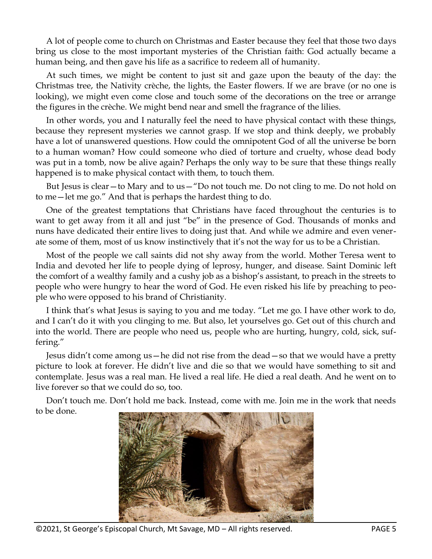A lot of people come to church on Christmas and Easter because they feel that those two days bring us close to the most important mysteries of the Christian faith: God actually became a human being, and then gave his life as a sacrifice to redeem all of humanity.

 At such times, we might be content to just sit and gaze upon the beauty of the day: the Christmas tree, the Nativity crèche, the lights, the Easter flowers. If we are brave (or no one is looking), we might even come close and touch some of the decorations on the tree or arrange the figures in the crèche. We might bend near and smell the fragrance of the lilies.

 In other words, you and I naturally feel the need to have physical contact with these things, because they represent mysteries we cannot grasp. If we stop and think deeply, we probably have a lot of unanswered questions. How could the omnipotent God of all the universe be born to a human woman? How could someone who died of torture and cruelty, whose dead body was put in a tomb, now be alive again? Perhaps the only way to be sure that these things really happened is to make physical contact with them, to touch them.

 But Jesus is clear—to Mary and to us—"Do not touch me. Do not cling to me. Do not hold on to me—let me go." And that is perhaps the hardest thing to do.

 One of the greatest temptations that Christians have faced throughout the centuries is to want to get away from it all and just "be" in the presence of God. Thousands of monks and nuns have dedicated their entire lives to doing just that. And while we admire and even venerate some of them, most of us know instinctively that it's not the way for us to be a Christian.

 Most of the people we call saints did not shy away from the world. Mother Teresa went to India and devoted her life to people dying of leprosy, hunger, and disease. Saint Dominic left the comfort of a wealthy family and a cushy job as a bishop's assistant, to preach in the streets to people who were hungry to hear the word of God. He even risked his life by preaching to people who were opposed to his brand of Christianity.

 I think that's what Jesus is saying to you and me today. "Let me go. I have other work to do, and I can't do it with you clinging to me. But also, let yourselves go. Get out of this church and into the world. There are people who need us, people who are hurting, hungry, cold, sick, suffering."

 Jesus didn't come among us—he did not rise from the dead—so that we would have a pretty picture to look at forever. He didn't live and die so that we would have something to sit and contemplate. Jesus was a real man. He lived a real life. He died a real death. And he went on to live forever so that we could do so, too.

 Don't touch me. Don't hold me back. Instead, come with me. Join me in the work that needs to be done.



©2021, St George's Episcopal Church, Mt Savage, MD – All rights reserved. PAGE 5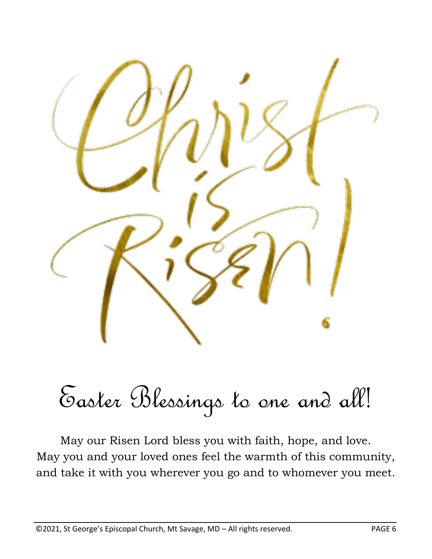

Easter Blessings to one and all!

May our Risen Lord bless you with faith, hope, and love. May you and your loved ones feel the warmth of this community, and take it with you wherever you go and to whomever you meet.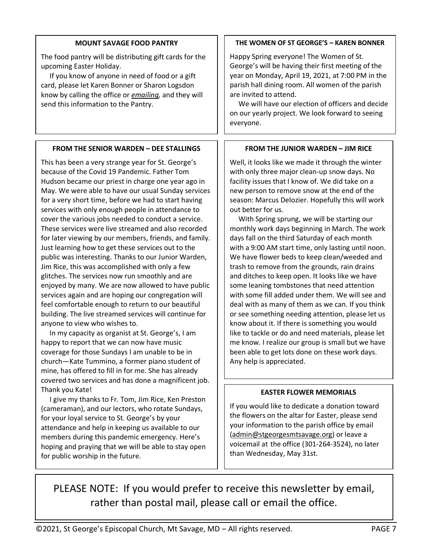#### **MOUNT SAVAGE FOOD PANTRY**

The food pantry will be distributing gift cards for the upcoming Easter Holiday.

 If you know of anyone in need of food or a gift card, please let Karen Bonner or Sharon Logsdon know by calling the office or *[emailing,](mailto:admin@stgeorgesmtsavage.org)* and they will send this information to the Pantry.

#### **FROM THE SENIOR WARDEN – DEE STALLINGS**

This has been a very strange year for St. George's because of the Covid 19 Pandemic. Father Tom Hudson became our priest in charge one year ago in May. We were able to have our usual Sunday services for a very short time, before we had to start having services with only enough people in attendance to cover the various jobs needed to conduct a service. These services were live streamed and also recorded for later viewing by our members, friends, and family. Just learning how to get these services out to the public was interesting. Thanks to our Junior Warden, Jim Rice, this was accomplished with only a few glitches. The services now run smoothly and are enjoyed by many. We are now allowed to have public services again and are hoping our congregation will feel comfortable enough to return to our beautiful building. The live streamed services will continue for anyone to view who wishes to.

 In my capacity as organist at St. George's, I am happy to report that we can now have music coverage for those Sundays I am unable to be in church—Kate Tummino, a former piano student of mine, has offered to fill in for me. She has already covered two services and has done a magnificent job. Thank you Kate!

 I give my thanks to Fr. Tom, Jim Rice, Ken Preston (cameraman), and our lectors, who rotate Sundays, for your loyal service to St. George's by your attendance and help in keeping us available to our members during this pandemic emergency. Here's hoping and praying that we will be able to stay open for public worship in the future.

#### **THE WOMEN OF ST GEORGE'S – KAREN BONNER**

Happy Spring everyone! The Women of St. George's will be having their first meeting of the year on Monday, April 19, 2021, at 7:00 PM in the parish hall dining room. All women of the parish are invited to attend.

 We will have our election of officers and decide on our yearly project. We look forward to seeing everyone.

#### **FROM THE JUNIOR WARDEN – JIM RICE**

Well, it looks like we made it through the winter with only three major clean-up snow days. No facility issues that I know of. We did take on a new person to remove snow at the end of the season: Marcus Delozier. Hopefully this will work out better for us.

 With Spring sprung, we will be starting our monthly work days beginning in March. The work days fall on the third Saturday of each month with a 9:00 AM start time, only lasting until noon. We have flower beds to keep clean/weeded and trash to remove from the grounds, rain drains and ditches to keep open. It looks like we have some leaning tombstones that need attention with some fill added under them. We will see and deal with as many of them as we can. If you think or see something needing attention, please let us know about it. If there is something you would like to tackle or do and need materials, please let me know. I realize our group is small but we have been able to get lots done on these work days. Any help is appreciated.

#### **EASTER FLOWER MEMORIALS**

If you would like to dedicate a donation toward the flowers on the altar for Easter, please send your information to the parish office by email [\(admin@stgeorgesmtsavage.org\)](mailto:admin@stgeorgesmtsavage.org) or leave a voicemail at the office (301-264-3524), no later than Wednesday, May 31st.

PLEASE NOTE: If you would prefer to receive this newsletter by email, rather than postal mail, please call or email the office.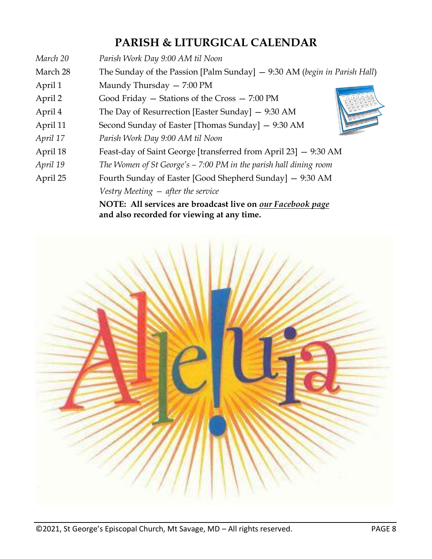## **PARISH & LITURGICAL CALENDAR**

| March 20 | Parish Work Day 9:00 AM til Noon                                                                         |  |
|----------|----------------------------------------------------------------------------------------------------------|--|
| March 28 | The Sunday of the Passion [Palm Sunday] $-$ 9:30 AM (begin in Parish Hall)                               |  |
| April 1  | Maundy Thursday - 7:00 PM                                                                                |  |
| April 2  | Good Friday $-$ Stations of the Cross $-7:00 \text{ PM}$                                                 |  |
| April 4  | The Day of Resurrection [Easter Sunday] $-$ 9:30 AM                                                      |  |
| April 11 | Second Sunday of Easter [Thomas Sunday] - 9:30 AM                                                        |  |
| April 17 | Parish Work Day 9:00 AM til Noon                                                                         |  |
| April 18 | Feast-day of Saint George [transferred from April 23] - 9:30 AM                                          |  |
| April 19 | The Women of St George's $-$ 7:00 PM in the parish hall dining room                                      |  |
| April 25 | Fourth Sunday of Easter [Good Shepherd Sunday] - 9:30 AM                                                 |  |
|          | Vestry Meeting $-$ after the service                                                                     |  |
|          | NOTE: All services are broadcast live on our Facebook page<br>and also recorded for viewing at any time. |  |

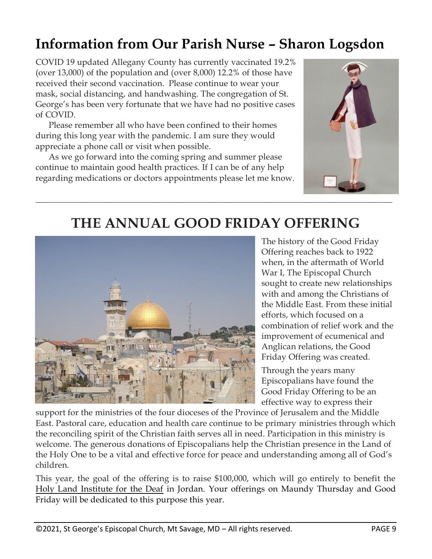## **Information from Our Parish Nurse – Sharon Logsdon**

COVID 19 updated Allegany County has currently vaccinated 19.2% (over 13,000) of the population and (over 8,000) 12.2% of those have received their second vaccination. Please continue to wear your mask, social distancing, and handwashing. The congregation of St. George's has been very fortunate that we have had no positive cases of COVID.

 Please remember all who have been confined to their homes during this long year with the pandemic. I am sure they would appreciate a phone call or visit when possible.

 As we go forward into the coming spring and summer please continue to maintain good health practices. If I can be of any help regarding medications or doctors appointments please let me know.



## **THE ANNUAL GOOD FRIDAY OFFERING**



The history of the Good Friday Offering reaches back to 1922 when, in the aftermath of World War I, The Episcopal Church sought to create new relationships with and among the Christians of the Middle East. From these initial efforts, which focused on a combination of relief work and the improvement of ecumenical and Anglican relations, the Good Friday Offering was created.

Through the years many Episcopalians have found the Good Friday Offering to be an effective way to express their

support for the ministries of the four dioceses of the Province of Jerusalem and the Middle East. Pastoral care, education and health care continue to be primary ministries through which the reconciling spirit of the Christian faith serves all in need. Participation in this ministry is welcome. The generous donations of Episcopalians help the Christian presence in the Land of the Holy One to be a vital and effective force for peace and understanding among all of God's children.

This year, the goal of the offering is to raise \$100,000, which will go entirely to benefit the [Holy Land Institute for the Deaf](https://afedj.org/institution/holy-land-institute-for-the-deaf-salt-jordan/) in Jordan. Your offerings on Maundy Thursday and Good Friday will be dedicated to this purpose this year.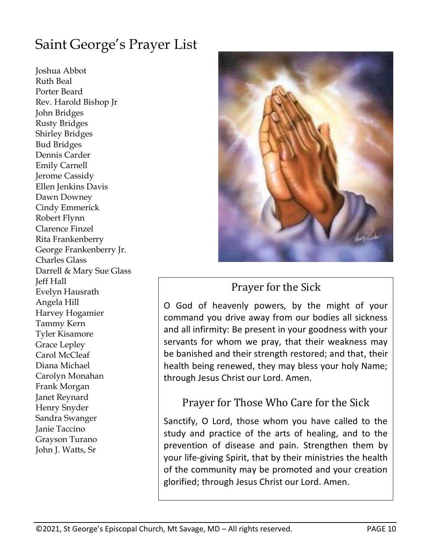## Saint George's Prayer List

Joshua Abbot Ruth Beal Porter Beard Rev. Harold Bishop Jr John Bridges Rusty Bridges Shirley Bridges Bud Bridges Dennis Carder Emily Carnell Jerome Cassidy Ellen Jenkins Davis Dawn Downey Cindy Emmerick Robert Flynn Clarence Finzel Rita Frankenberry George Frankenberry Jr. Charles Glass Darrell & Mary Sue Glass Jeff Hall Evelyn Hausrath Angela Hill Harvey Hogamier Tammy Kern Tyler Kisamore Grace Lepley Carol McCleaf Diana Michael Carolyn Monahan Frank Morgan Janet Reynard Henry Snyder Sandra Swanger Janie Taccino Grayson Turano John J. Watts, Sr



## Prayer for the Sick

O God of heavenly powers, by the might of your command you drive away from our bodies all sickness and all infirmity: Be present in your goodness with your servants for whom we pray, that their weakness may be banished and their strength restored; and that, their health being renewed, they may bless your holy Name; through Jesus Christ our Lord. Amen.

## Prayer for Those Who Care for the Sick

Sanctify, O Lord, those whom you have called to the study and practice of the arts of healing, and to the prevention of disease and pain. Strengthen them by your life-giving Spirit, that by their ministries the health of the community may be promoted and your creation glorified; through Jesus Christ our Lord. Amen.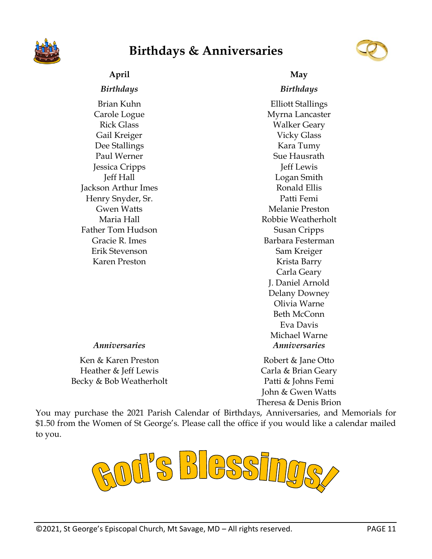

## **Birthdays & Anniversaries**



### **April May**

Brian Kuhn Carole Logue Rick Glass Gail Kreiger Dee Stallings Paul Werner Jessica Cripps Jeff Hall Jackson Arthur Imes Henry Snyder, Sr. Gwen Watts Maria Hall Father Tom Hudson Gracie R. Imes Erik Stevenson Karen Preston

#### *Birthdays Birthdays*

Elliott Stallings Myrna Lancaster Walker Geary Vicky Glass Kara Tumy Sue Hausrath Jeff Lewis Logan Smith Ronald Ellis Patti Femi Melanie Preston Robbie Weatherholt Susan Cripps Barbara Festerman Sam Kreiger Krista Barry Carla Geary J. Daniel Arnold Delany Downey Olivia Warne Beth McConn Eva Davis Michael Warne *Anniversaries Anniversaries*

Ken & Karen Preston Heather & Jeff Lewis Becky & Bob Weatherholt

Robert & Jane Otto Carla & Brian Geary Patti & Johns Femi John & Gwen Watts Theresa & Denis Brion

You may purchase the 2021 Parish Calendar of Birthdays, Anniversaries, and Memorials for \$1.50 from the Women of St George's. Please call the office if you would like a calendar mailed to you.